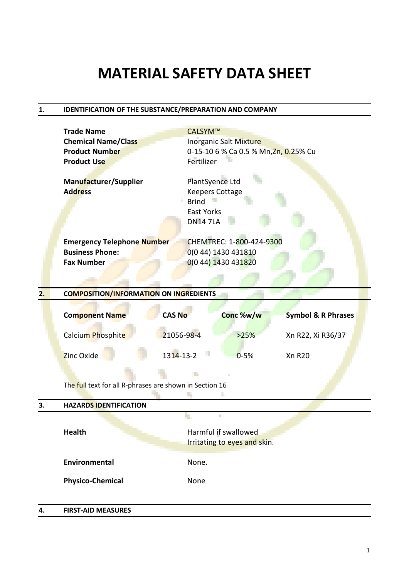# **MATERIAL SAFETY DATA SHEET**

### **1. IDENTIFICATION OF THE SUBSTANCE/PREPARATION AND COMPANY**

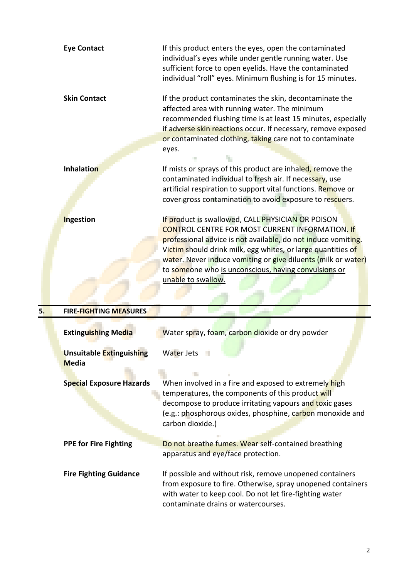| <b>Eye Contact</b>                  | If this product enters the eyes, open the contaminated<br>individual's eyes while under gentle running water. Use<br>sufficient force to open eyelids. Have the contaminated<br>individual "roll" eyes. Minimum flushing is for 15 minutes.                                                                                                                                                 |
|-------------------------------------|---------------------------------------------------------------------------------------------------------------------------------------------------------------------------------------------------------------------------------------------------------------------------------------------------------------------------------------------------------------------------------------------|
| <b>Skin Contact</b>                 | If the product contaminates the skin, decontaminate the<br>affected area with running water. The minimum<br>recommended flushing time is at least 15 minutes, especially<br>if adverse skin reactions occur. If necessary, remove exposed<br>or contaminated clothing, taking care not to contaminate<br>eyes.                                                                              |
| <b>Inhalation</b>                   | If mists or sprays of this product are inhaled, remove the<br>contaminated individual to fresh air. If necessary, use                                                                                                                                                                                                                                                                       |
|                                     | artificial respiration to support vital functions. Remove or<br>cover gross contamination to avoid exposure to rescuers.                                                                                                                                                                                                                                                                    |
| <b>Ingestion</b>                    | If product is swallowed, CALL PHYSICIAN OR POISON<br><b>CONTROL CENTRE FOR MOST CURRENT INFORMATION. If</b><br>professional advice is not available, do not induce vomiting.<br>Victim should drink milk, egg whites, or large quantities of<br>water. Never induce vomiting or give diluents (milk or water)<br>to someone who is unconscious, having convulsions or<br>unable to swallow. |
| 5.<br><b>FIRE-FIGHTING MEASURES</b> |                                                                                                                                                                                                                                                                                                                                                                                             |
| <b>Extinguishing Media</b>          | Water spray, foam, carbon dioxide or dry powder                                                                                                                                                                                                                                                                                                                                             |

| LAULIKUDHILK IVITUIG                            | <b>WALE:</b> Spidy, IDdIII, Calbull dioxide of ally powder                                                                                                                                                                                             |
|-------------------------------------------------|--------------------------------------------------------------------------------------------------------------------------------------------------------------------------------------------------------------------------------------------------------|
| <b>Unsuitable Extinguishing</b><br><b>Media</b> | Water Jets                                                                                                                                                                                                                                             |
|                                                 |                                                                                                                                                                                                                                                        |
| <b>Special Exposure Hazards</b>                 | When involved in a fire and exposed to extremely high<br>temperatures, the components of this product will<br>decompose to produce irritating vapours and toxic gases<br>(e.g.: phosphorous oxides, phosphine, carbon monoxide and<br>carbon dioxide.) |
| <b>PPE for Fire Fighting</b>                    | Do not breathe fumes. Wear self-contained breathing<br>apparatus and eye/face protection.                                                                                                                                                              |
| <b>Fire Fighting Guidance</b>                   | If possible and without risk, remove unopened containers<br>from exposure to fire. Otherwise, spray unopened containers<br>with water to keep cool. Do not let fire-fighting water<br>contaminate drains or watercourses.                              |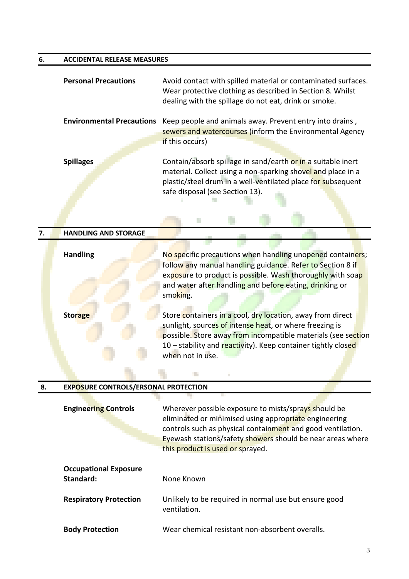## **6. ACCIDENTAL RELEASE MEASURES**

|    | <b>Personal Precautions</b>                 | Avoid contact with spilled material or contaminated surfaces.<br>Wear protective clothing as described in Section 8. Whilst<br>dealing with the spillage do not eat, drink or smoke.                                                                                        |
|----|---------------------------------------------|-----------------------------------------------------------------------------------------------------------------------------------------------------------------------------------------------------------------------------------------------------------------------------|
|    | <b>Environmental Precautions</b>            | Keep people and animals away. Prevent entry into drains,<br>sewers and watercourses (inform the Environmental Agency<br>if this occurs)                                                                                                                                     |
|    | <b>Spillages</b>                            | Contain/absorb spillage in sand/earth or in a suitable inert<br>material. Collect using a non-sparking shovel and place in a<br>plastic/steel drum in a well-ventilated place for subsequent<br>safe disposal (see Section 13).                                             |
|    |                                             | H.                                                                                                                                                                                                                                                                          |
| 7. | <b>HANDLING AND STORAGE</b>                 |                                                                                                                                                                                                                                                                             |
|    | <b>Handling</b>                             | No specific precautions when handling unopened containers;<br>follow any manual handling guidance. Refer to Section 8 if<br>exposure to product is possible. Wash thoroughly with soap<br>and water after handling and before eating, drinking or<br>smoking.               |
|    | <b>Storage</b>                              | Store containers in a cool, dry location, away from direct<br>sunlight, sources of intense heat, or where freezing is<br>possible. Store away from incompatible materials (see section<br>10 - stability and reactivity). Keep container tightly closed<br>when not in use. |
|    |                                             |                                                                                                                                                                                                                                                                             |
| 8. | <b>EXPOSURE CONTROLS/ERSONAL PROTECTION</b> |                                                                                                                                                                                                                                                                             |

| <b>Engineering Controls</b>               | Wherever possible exposure to mists/sprays should be<br>eliminated or minimised using appropriate engineering<br>controls such as physical containment and good ventilation.<br>Eyewash stations/safety showers should be near areas where<br>this product is used or sprayed. |
|-------------------------------------------|--------------------------------------------------------------------------------------------------------------------------------------------------------------------------------------------------------------------------------------------------------------------------------|
| <b>Occupational Exposure</b><br>Standard: | None Known                                                                                                                                                                                                                                                                     |
| <b>Respiratory Protection</b>             | Unlikely to be required in normal use but ensure good<br>ventilation.                                                                                                                                                                                                          |
| <b>Body Protection</b>                    | Wear chemical resistant non-absorbent overalls.                                                                                                                                                                                                                                |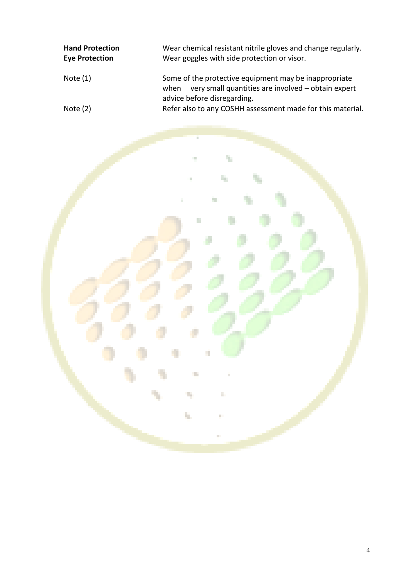| <b>Hand Protection</b><br><b>Eye Protection</b> | Wear chemical resistant nitrile gloves and change regularly.<br>Wear goggles with side protection or visor.                                        |
|-------------------------------------------------|----------------------------------------------------------------------------------------------------------------------------------------------------|
| Note $(1)$                                      | Some of the protective equipment may be inappropriate<br>very small quantities are involved - obtain expert<br>when<br>advice before disregarding. |
| Note $(2)$                                      | Refer also to any COSHH assessment made for this material.                                                                                         |

ķ.

ų,

ţ.

Ì.

÷,

d,

 $\mathcal{A}$ 

t,

ų,

f

Ì.

H.

ř.

F

ó.

n.

÷,

÷

۰

¢

v.

٠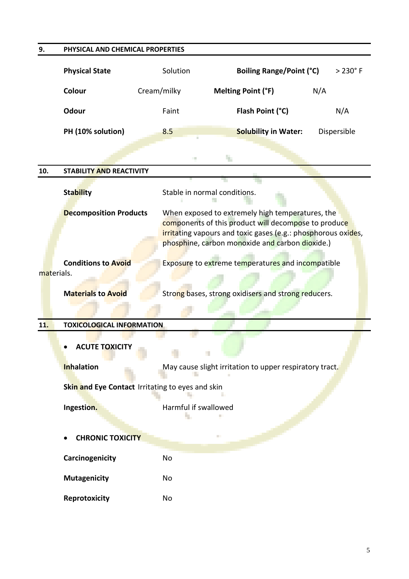| 9.         | PHYSICAL AND CHEMICAL PROPERTIES                 |                      |                                                                                                                                                                                                                              |                |
|------------|--------------------------------------------------|----------------------|------------------------------------------------------------------------------------------------------------------------------------------------------------------------------------------------------------------------------|----------------|
|            | <b>Physical State</b>                            | Solution             | <b>Boiling Range/Point (°C)</b>                                                                                                                                                                                              | $>230^\circ$ F |
|            | Colour                                           | Cream/milky          | Melting Point (°F)                                                                                                                                                                                                           | N/A            |
|            | Odour                                            | Faint                | Flash Point (°C)                                                                                                                                                                                                             | N/A            |
|            | PH (10% solution)                                | 8.5                  | <b>Solubility in Water:</b>                                                                                                                                                                                                  | Dispersible    |
|            |                                                  | <b>Talent</b>        | ц.                                                                                                                                                                                                                           |                |
| 10.        | <b>STABILITY AND REACTIVITY</b>                  |                      |                                                                                                                                                                                                                              |                |
|            | <b>Stability</b>                                 |                      | Stable in normal conditions.                                                                                                                                                                                                 |                |
|            | <b>Decomposition Products</b>                    |                      | When exposed to extremely high temperatures, the<br>components of this product will decompose to produce<br>irritating vapours and toxic gases (e.g.: phosphorous oxides,<br>phosphine, carbon monoxide and carbon dioxide.) |                |
|            | <b>Conditions to Avoid</b>                       |                      | Exposure to extreme temperatures and incompatible                                                                                                                                                                            |                |
| materials. |                                                  |                      |                                                                                                                                                                                                                              |                |
|            | <b>Materials to Avoid</b>                        |                      | Strong bases, strong oxidisers and strong reducers.                                                                                                                                                                          |                |
| 11.        | <b>TOXICOLOGICAL INFORMATION</b>                 |                      |                                                                                                                                                                                                                              |                |
|            | <b>ACUTE TOXICITY</b><br><b>Inhalation</b>       |                      | May cause slight irritation to upper respiratory tract.                                                                                                                                                                      |                |
|            | Skin and Eye Contact Irritating to eyes and skin |                      |                                                                                                                                                                                                                              |                |
|            | Ingestion.                                       | Harmful if swallowed |                                                                                                                                                                                                                              |                |
|            | <b>CHRONIC TOXICITY</b>                          |                      | Ш                                                                                                                                                                                                                            |                |
|            | Carcinogenicity                                  | <b>No</b>            |                                                                                                                                                                                                                              |                |
|            | <b>Mutagenicity</b>                              | No                   |                                                                                                                                                                                                                              |                |
|            | Reprotoxicity                                    | No                   |                                                                                                                                                                                                                              |                |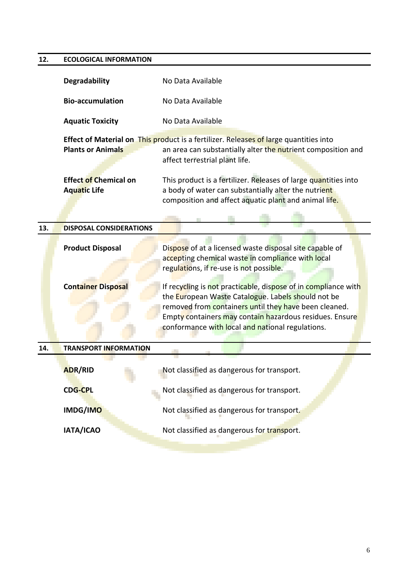### **12. ECOLOGICAL INFORMATION**

|                          | <b>Degradability</b>                                | No Data Available                                                                                                                                                                                                                                                                            |  |  |
|--------------------------|-----------------------------------------------------|----------------------------------------------------------------------------------------------------------------------------------------------------------------------------------------------------------------------------------------------------------------------------------------------|--|--|
|                          | <b>Bio-accumulation</b>                             | No Data Available                                                                                                                                                                                                                                                                            |  |  |
|                          | <b>Aquatic Toxicity</b>                             | No Data Available                                                                                                                                                                                                                                                                            |  |  |
| <b>Plants or Animals</b> |                                                     | <b>Effect of Material on This product is a fertilizer. Releases of large quantities into</b><br>an area can substantially alter the nutrient composition and<br>affect terrestrial plant life.                                                                                               |  |  |
|                          | <b>Effect of Chemical on</b><br><b>Aquatic Life</b> | This product is a fertilizer. Releases of large quantities into<br>a body of water can substantially alter the nutrient<br>composition and affect aquatic plant and animal life.                                                                                                             |  |  |
| 13.                      | <b>DISPOSAL CONSIDERATIONS</b>                      |                                                                                                                                                                                                                                                                                              |  |  |
|                          | <b>Product Disposal</b>                             | Dispose of at a licensed waste disposal site capable of<br>accepting chemical waste in compliance with local<br>regulations, if re-use is not possible.                                                                                                                                      |  |  |
|                          | <b>Container Disposal</b>                           | If recycling is not practicable, dispose of in compliance with<br>the European Waste Catalogue. Labels should not be<br>removed from containers until they have been cleaned.<br>Empty containers may contain hazardous residues. Ensure<br>conformance with local and national regulations. |  |  |
| 14.                      | <b>TRANSPORT INFORMATION</b>                        |                                                                                                                                                                                                                                                                                              |  |  |
|                          | <b>ADR/RID</b>                                      | Not classified as dangerous for transport.                                                                                                                                                                                                                                                   |  |  |
|                          | <b>CDG-CPL</b>                                      | Not classified as dangerous for transport.                                                                                                                                                                                                                                                   |  |  |
|                          | IMDG/IMO                                            | Not classified as dangerous for transport.                                                                                                                                                                                                                                                   |  |  |
|                          | IATA/ICAO                                           | Not classified as dangerous for transport.                                                                                                                                                                                                                                                   |  |  |